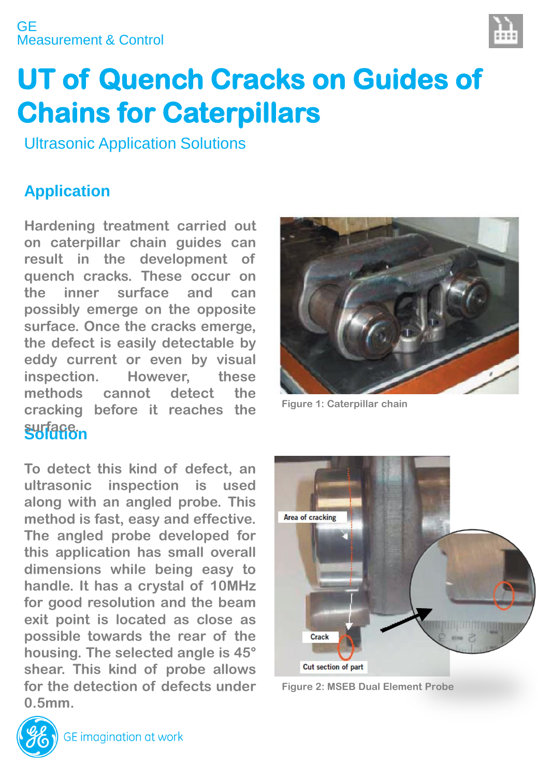# Measurement & Control **GE**



# **UT of Quench Cracks on Guides of Chains for Caterpillars**

Ultrasonic Application Solutions

# **Application**

**Solution surface. Hardening treatment carried out on caterpillar chain guides can result in the development of quench cracks. These occur on the inner surface and can possibly emerge on the opposite surface. Once the cracks emerge, the defect is easily detectable by eddy current or even by visual inspection. However, these methods cannot detect the cracking before it reaches the**

**To detect this kind of defect, an ultrasonic inspection is used along with an angled probe. This method is fast, easy and effective. The angled probe developed for this application has small overall dimensions while being easy to handle. It has a crystal of 10MHz for good resolution and the beam exit point is located as close as possible towards the rear of the housing. The selected angle is 45° shear. This kind of probe allows for the detection of defects under 0.5mm.**



**Figure 1: Caterpillar chain** 



**Figure 2: MSEB Dual Element Probe**